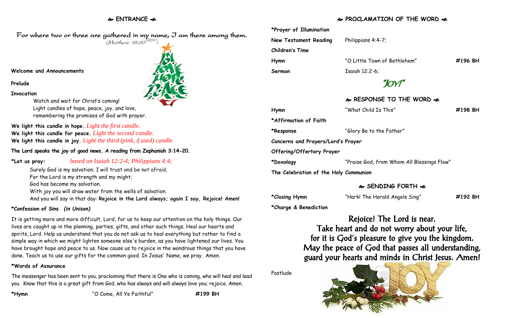# **ENTRANCE**

## **PROCLAMATION OF THE WORD**

|  | *Prayer of Illumination               |                                            |         |
|--|---------------------------------------|--------------------------------------------|---------|
|  | New Testament Reading                 | Philippians 4:4-7;                         |         |
|  | <b>Children's Time</b>                |                                            |         |
|  | Hymn                                  | "O Little Town of Bethlehem"               | #196 BH |
|  | Sermon                                | Isaiah 12:2-6;                             |         |
|  |                                       |                                            |         |
|  |                                       | & RESPONSE TO THE WORD &                   |         |
|  | Hymn                                  | "What Child Is This"                       | #198 BH |
|  | *Affirmation of Faith                 |                                            |         |
|  | *Response                             | "Glory Be to the Father"                   |         |
|  | Concerns and Prayers/Lord's Prayer    |                                            |         |
|  | Offering/Offertory Prayer             |                                            |         |
|  | *Doxology                             | "Praise God, from Whom All Blessings Flow" |         |
|  | The Celebration of the Holy Communion |                                            |         |
|  |                                       | A SENDING FORTH A                          |         |

### **SENDING FORTH**

| *Closing Hymn | "Hark! The Herald Angels Sing" | #192 BH |
|---------------|--------------------------------|---------|
|               |                                |         |

**\*Charge & Benediction**

Rejoice! The Lord is near.

Take heart and do not worry about your life, for it is God's pleasure to give you the kingdom. May the peace of God that passes all understanding, guard your hearts and minds in Christ Jesus. Amen!

Postlude



For where two or three are gathered in my name, J am there among them.  $(M$ atthew 18:20 $^{NRSV})$ 

#### **Welcome and Announcements**

**Prelude**

**Invocation**

Watch and wait for Christ's coming! Light candles of hope, peace, joy, and love, remembering the promises of God with prayer.

**We light this candle in hope.** *Light the first candle.*  **We light this candle for peace.** *Light the second candle.*  **We light this candle in joy.** *Light the third (pink, if used) candle.*

**The Lord speaks the joy of good news. A reading from Zephaniah 3:14-20.**

**\*Let us pray:** *based on Isaiah 12:2-4; Philippians 4:4;*

Surely God is my salvation; I will trust and be not afraid, For the Lord is my strength and my might;

God has become my salvation.

With joy you will draw water from the wells of salvation. And you will say in that day: **Rejoice in the Lord always; again I say, Rejoice! Amen!**

## **\*Confession of Sins** *(in Unison)*

It is getting more and more difficult, Lord, for us to keep our attention on the holy things. Our lives are caught up in the planning, parties, gifts, and other such things. Heal our hearts and spirits, Lord. Help us understand that you do not ask us to heal everything but rather to find a simple way in which we might lighten someone else's burden, as you have lightened our lives. You have brought hope and peace to us. Now cause us to rejoice in the wondrous things that you have done. Teach us to use our gifts for the common good. In Jesus' Name, we pray. Amen.

### **\*Words of Assurance**

The messenger has been sent to you, proclaiming that there is One who is coming, who will heal and lead you. Know that this is a great gift from God, who has always and will always love you; rejoice. Amen.

**\*Hymn** "O Come, All Ye Faithful" **#199 BH**